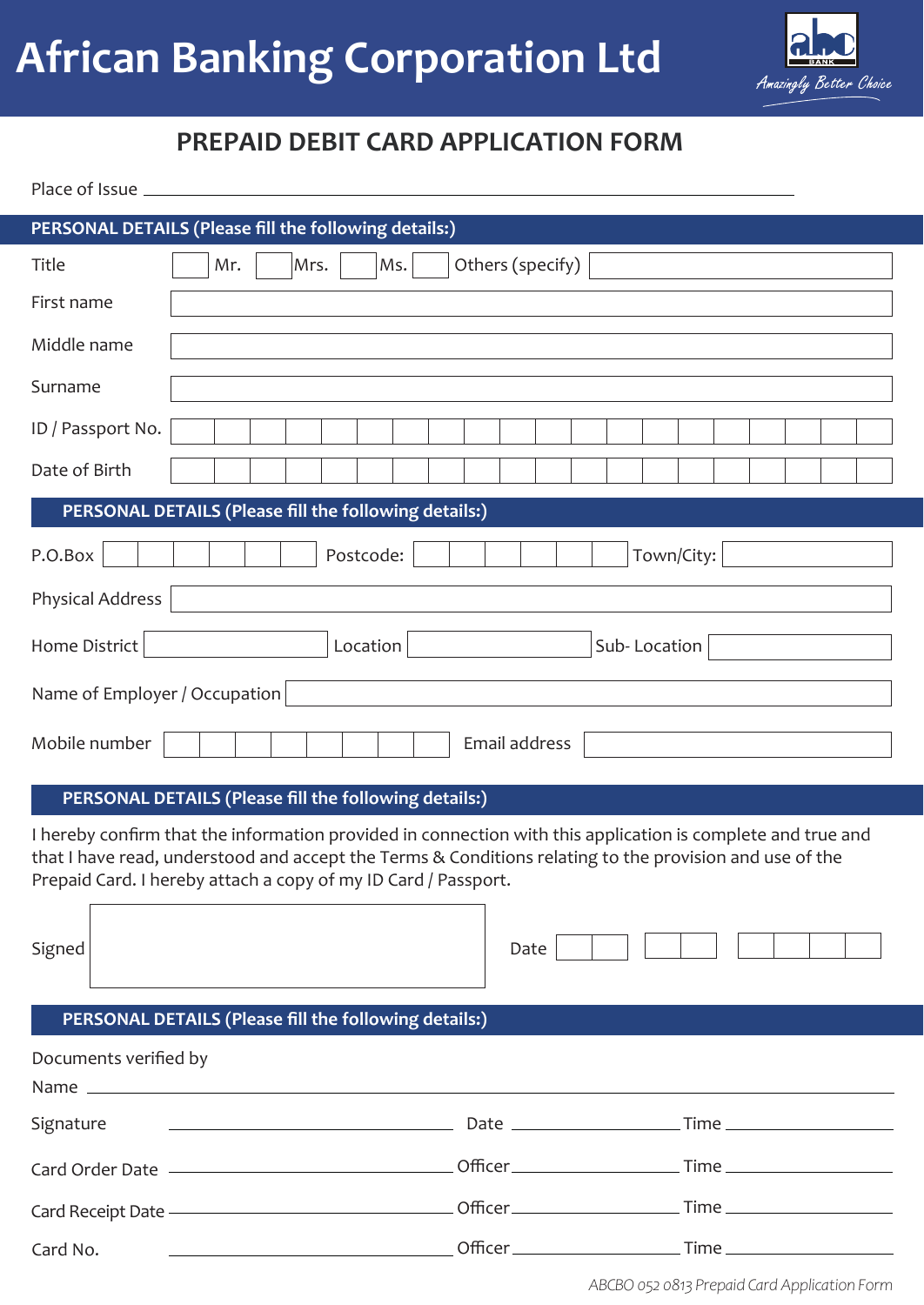

# **PREPAID DEBIT CARD APPLICATION FORM**

| Place of Issue |  |  |
|----------------|--|--|
|----------------|--|--|

 $\Box$ 

| PERSONAL DETAILS (Please fill the following details:) |  |     |  |  |      |           |     |  |                  |  |  |            |  |  |  |
|-------------------------------------------------------|--|-----|--|--|------|-----------|-----|--|------------------|--|--|------------|--|--|--|
| Title                                                 |  | Mr. |  |  | Mrs. |           | Ms. |  | Others (specify) |  |  |            |  |  |  |
| First name                                            |  |     |  |  |      |           |     |  |                  |  |  |            |  |  |  |
| Middle name                                           |  |     |  |  |      |           |     |  |                  |  |  |            |  |  |  |
| Surname                                               |  |     |  |  |      |           |     |  |                  |  |  |            |  |  |  |
| ID / Passport No.                                     |  |     |  |  |      |           |     |  |                  |  |  |            |  |  |  |
| Date of Birth                                         |  |     |  |  |      |           |     |  |                  |  |  |            |  |  |  |
| PERSONAL DETAILS (Please fill the following details:) |  |     |  |  |      |           |     |  |                  |  |  |            |  |  |  |
| P.O.Box                                               |  |     |  |  |      | Postcode: |     |  |                  |  |  | Town/City: |  |  |  |
| Physical Address                                      |  |     |  |  |      |           |     |  |                  |  |  |            |  |  |  |
| Home District<br>Location<br>Sub-Location             |  |     |  |  |      |           |     |  |                  |  |  |            |  |  |  |
| Name of Employer / Occupation                         |  |     |  |  |      |           |     |  |                  |  |  |            |  |  |  |
| Mobile number                                         |  |     |  |  |      |           |     |  | Email address    |  |  |            |  |  |  |

#### **PERSONAL DETAILS (Please fill the following details:)**

I hereby confirm that the information provided in connection with this application is complete and true and that I have read, understood and accept the Terms & Conditions relating to the provision and use of the Prepaid Card. I hereby attach a copy of my ID Card / Passport.

 $\overline{\phantom{0}}$ 

| Signed                                                                           | Date |  |
|----------------------------------------------------------------------------------|------|--|
| PERSONAL DETAILS (Please fill the following details:)                            |      |  |
| Documents verified by                                                            |      |  |
| Signature                                                                        |      |  |
|                                                                                  |      |  |
| Card Receipt Date —————————————————Officer ——————————————Time —————————————————— |      |  |
| Card No.                                                                         |      |  |

*ABCBO 052 0813 Prepaid Card Application Form*